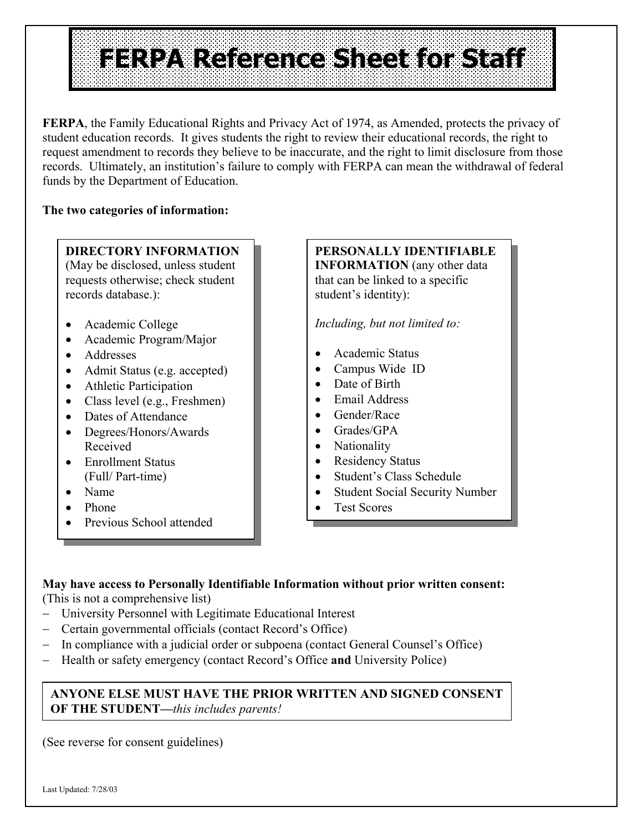# **FERPARE REFERENCE SHOESE 11**

**FERPA**, the Family Educational Rights and Privacy Act of 1974, as Amended, protects the privacy of student education records. It gives students the right to review their educational records, the right to request amendment to records they believe to be inaccurate, and the right to limit disclosure from those records. Ultimately, an institution's failure to comply with FERPA can mean the withdrawal of federal funds by the Department of Education.

#### **The two categories of information:**

### **DIRECTORY INFORMATION**

(May be disclosed, unless student requests otherwise; check student records database.):

- Academic College
- Academic Program/Major
- Addresses
- Admit Status (e.g. accepted)
- Athletic Participation
- Class level (e.g., Freshmen)
- Dates of Attendance
- Degrees/Honors/Awards Received
- Enrollment Status (Full/ Part-time)
- Name
- Phone
- Previous School attended

#### **PERSONALLY IDENTIFIABLE INFORMATION** (any other data that can be linked to a specific student's identity):

*Including, but not limited to:* 

- Academic Status
- Campus Wide ID
- Date of Birth
- Email Address
- Gender/Race
- Grades/GPA
- Nationality
- Residency Status
- Student's Class Schedule
- Student Social Security Number
- Test Scores

#### **May have access to Personally Identifiable Information without prior written consent:**

(This is not a comprehensive list)

- − University Personnel with Legitimate Educational Interest
- − Certain governmental officials (contact Record's Office)
- In compliance with a judicial order or subpoena (contact General Counsel's Office)
- − Health or safety emergency (contact Record's Office **and** University Police)

#### **ANYONE ELSE MUST HAVE THE PRIOR WRITTEN AND SIGNED CONSENT OF THE STUDENT—***this includes parents!*

(See reverse for consent guidelines)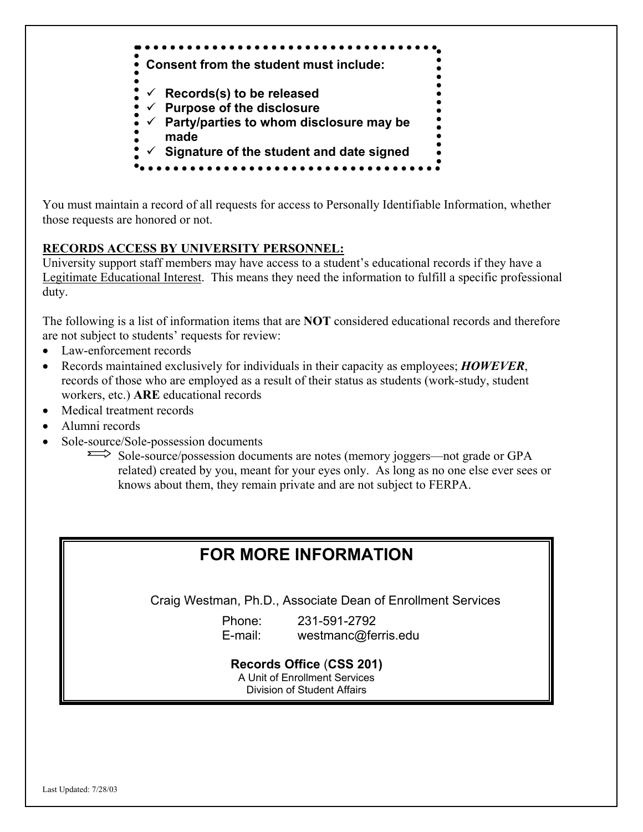

You must maintain a record of all requests for access to Personally Identifiable Information, whether those requests are honored or not.

#### **RECORDS ACCESS BY UNIVERSITY PERSONNEL:**

University support staff members may have access to a student's educational records if they have a Legitimate Educational Interest. This means they need the information to fulfill a specific professional duty.

The following is a list of information items that are **NOT** considered educational records and therefore are not subject to students' requests for review:

- Law-enforcement records
- Records maintained exclusively for individuals in their capacity as employees; *HOWEVER*, records of those who are employed as a result of their status as students (work-study, student workers, etc.) **ARE** educational records
- Medical treatment records
- Alumni records
- Sole-source/Sole-possession documents

Sole-source/possession documents are notes (memory joggers—not grade or GPA related) created by you, meant for your eyes only. As long as no one else ever sees or knows about them, they remain private and are not subject to FERPA.

## **FOR MORE INFORMATION**

Craig Westman, Ph.D., Associate Dean of Enrollment Services

Phone: 231-591-2792 E-mail: westmanc@ferris.edu

#### **Records Office** (**CSS 201)**

A Unit of Enrollment Services

Division of Student Affairs